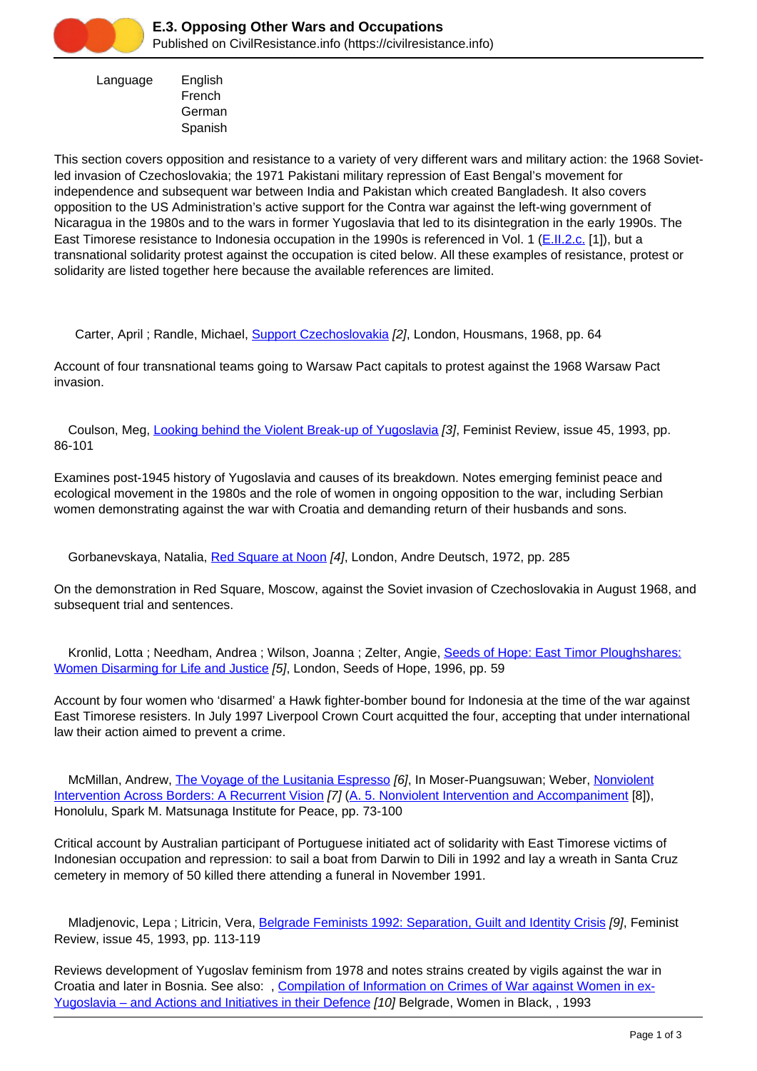

 Language English French **German** Spanish

This section covers opposition and resistance to a variety of very different wars and military action: the 1968 Sovietled invasion of Czechoslovakia; the 1971 Pakistani military repression of East Bengal's movement for independence and subsequent war between India and Pakistan which created Bangladesh. It also covers opposition to the US Administration's active support for the Contra war against the left-wing government of Nicaragua in the 1980s and to the wars in former Yugoslavia that led to its disintegration in the early 1990s. The East Timorese resistance to Indonesia occupation in the 1990s is referenced in Vol. 1 ([E.II.2.c.](https://civilresistance.info/section/e-resisting-oppressive-dictatorial-military-or-authoritarian-rule/e-ii-asia-and-6) [1]), but a transnational solidarity protest against the occupation is cited below. All these examples of resistance, protest or solidarity are listed together here because the available references are limited.

Carter, April ; Randle, Michael, [Support Czechoslovakia](https://civilresistance.info/biblio-item/1968/support-czechoslovakia) [2], London, Housmans, 1968, pp. 64

Account of four transnational teams going to Warsaw Pact capitals to protest against the 1968 Warsaw Pact invasion.

 Coulson, Meg, [Looking behind the Violent Break-up of Yugoslavia](https://civilresistance.info/biblio-item/1993/looking-behind-violent-break-yugoslavia) [3], Feminist Review, issue 45, 1993, pp. 86-101

Examines post-1945 history of Yugoslavia and causes of its breakdown. Notes emerging feminist peace and ecological movement in the 1980s and the role of women in ongoing opposition to the war, including Serbian women demonstrating against the war with Croatia and demanding return of their husbands and sons.

Gorbanevskaya, Natalia, [Red Square at Noon](https://civilresistance.info/biblio-item/1972/red-square-noon) [4], London, Andre Deutsch, 1972, pp. 285

On the demonstration in Red Square, Moscow, against the Soviet invasion of Czechoslovakia in August 1968, and subsequent trial and sentences.

 Kronlid, Lotta ; Needham, Andrea ; Wilson, Joanna ; Zelter, Angie, [Seeds of Hope: East Timor Ploughshares:](https://civilresistance.info/biblio-item/1996/seeds-hope-east-timor-ploughshares-women-disarming-life-and-justice) [Women Disarming for Life and Justice](https://civilresistance.info/biblio-item/1996/seeds-hope-east-timor-ploughshares-women-disarming-life-and-justice) [5], London, Seeds of Hope, 1996, pp. 59

Account by four women who 'disarmed' a Hawk fighter-bomber bound for Indonesia at the time of the war against East Timorese resisters. In July 1997 Liverpool Crown Court acquitted the four, accepting that under international law their action aimed to prevent a crime.

McMillan, Andrew, [The Voyage of the Lusitania Espresso](https://civilresistance.info/biblio-item/2000/voyage-lusitania-espresso) [6], In Moser-Puangsuwan; Weber, [Nonviolent](https://civilresistance.info/biblio-item/2000/nonviolent-intervention-across-borders-recurrent-vision) [Intervention Across Borders: A Recurrent Vision](https://civilresistance.info/biblio-item/2000/nonviolent-intervention-across-borders-recurrent-vision) [7] ([A. 5. Nonviolent Intervention and Accompaniment](https://civilresistance.info/section/introduction-nonviolent-action/5-nonviolent-intervention-and-accompaniment) [8]), Honolulu, Spark M. Matsunaga Institute for Peace, pp. 73-100

Critical account by Australian participant of Portuguese initiated act of solidarity with East Timorese victims of Indonesian occupation and repression: to sail a boat from Darwin to Dili in 1992 and lay a wreath in Santa Cruz cemetery in memory of 50 killed there attending a funeral in November 1991.

Mladjenovic, Lepa; Litricin, Vera, [Belgrade Feminists 1992: Separation, Guilt and Identity Crisis](https://civilresistance.info/biblio-item/1993/belgrade-feminists-1992-separation-guilt-and-identity-crisis) [9], Feminist Review, issue 45, 1993, pp. 113-119

Reviews development of Yugoslav feminism from 1978 and notes strains created by vigils against the war in Croatia and later in Bosnia. See also: , [Compilation of Information on Crimes of War against Women in ex-](https://civilresistance.info/biblio-item/1993/compilation-information-crimes-war-against-women-ex-yugoslavia-and-actions-and)[Yugoslavia – and Actions and Initiatives in their Defence](https://civilresistance.info/biblio-item/1993/compilation-information-crimes-war-against-women-ex-yugoslavia-and-actions-and) [10] Belgrade, Women in Black, , 1993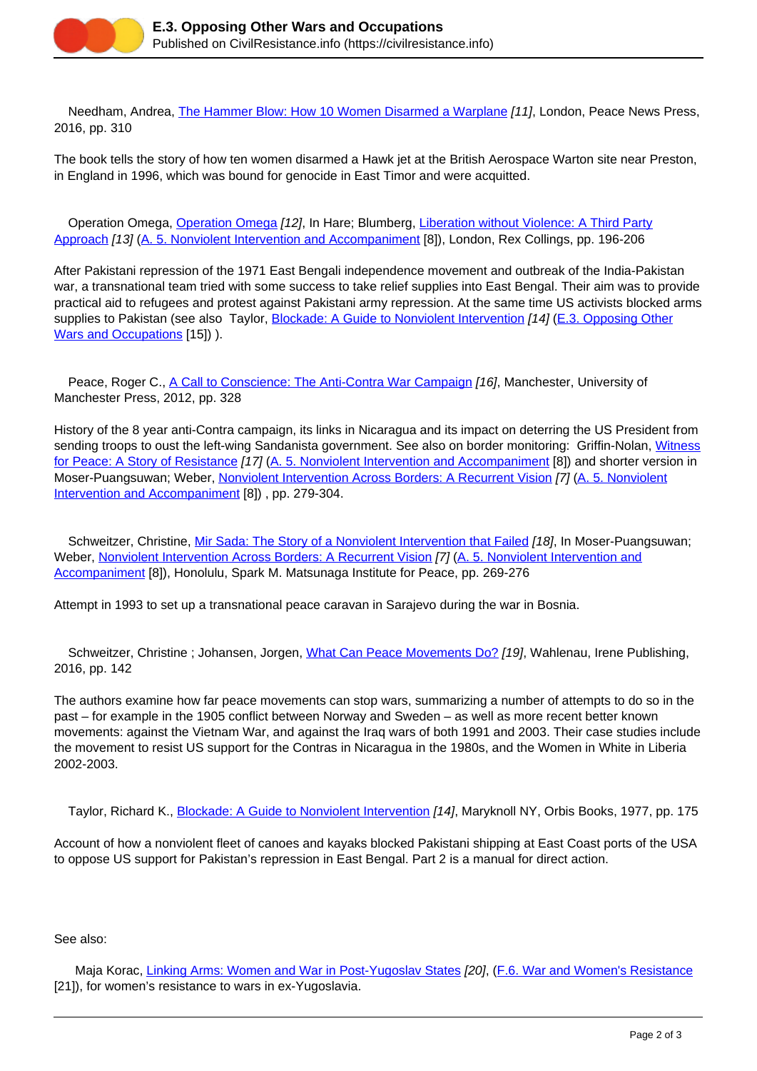

 Needham, Andrea, [The Hammer Blow: How 10 Women Disarmed a Warplane](https://civilresistance.info/biblio-item/2016/hammer-blow-how-10-women-disarmed-warplane) [11], London, Peace News Press, 2016, pp. 310

The book tells the story of how ten women disarmed a Hawk jet at the British Aerospace Warton site near Preston, in England in 1996, which was bound for genocide in East Timor and were acquitted.

[Operation Omega](https://civilresistance.info/biblio-item/1977/operation-omega), Operation Omega [12], In Hare; Blumberg, [Liberation without Violence: A Third Party](https://civilresistance.info/biblio-item/1977/liberation-without-violence-third-party-approach) [Approach](https://civilresistance.info/biblio-item/1977/liberation-without-violence-third-party-approach) [13] ([A. 5. Nonviolent Intervention and Accompaniment](https://civilresistance.info/section/introduction-nonviolent-action/5-nonviolent-intervention-and-accompaniment) [8]), London, Rex Collings, pp. 196-206

After Pakistani repression of the 1971 East Bengali independence movement and outbreak of the India-Pakistan war, a transnational team tried with some success to take relief supplies into East Bengal. Their aim was to provide practical aid to refugees and protest against Pakistani army repression. At the same time US activists blocked arms supplies to Pakistan (see also Taylor, [Blockade: A Guide to Nonviolent Intervention](https://civilresistance.info/biblio-item/1977/blockade-guide-nonviolent-intervention) [14] [\(E.3. Opposing Other](https://civilresistance.info/section/e-resistance-movements-against-specific-wars/e3-opposing-other-wars-and-occupations) [Wars and Occupations](https://civilresistance.info/section/e-resistance-movements-against-specific-wars/e3-opposing-other-wars-and-occupations) [15]) ).

Peace, Roger C., [A Call to Conscience: The Anti-Contra War Campaign](https://civilresistance.info/biblio-item/2012/call-conscience-anti-contra-war-campaign) [16], Manchester, University of Manchester Press, 2012, pp. 328

History of the 8 year anti-Contra campaign, its links in Nicaragua and its impact on deterring the US President from sending troops to oust the left-wing Sandanista government. See also on border monitoring: Griffin-Nolan, [Witness](https://civilresistance.info/biblio-item/1991/witness-peace-story-resistance) [for Peace: A Story of Resistance](https://civilresistance.info/biblio-item/1991/witness-peace-story-resistance) [17] ([A. 5. Nonviolent Intervention and Accompaniment](https://civilresistance.info/section/introduction-nonviolent-action/5-nonviolent-intervention-and-accompaniment) [8]) and shorter version in Moser-Puangsuwan; Weber, [Nonviolent Intervention Across Borders: A Recurrent Vision](https://civilresistance.info/biblio-item/2000/nonviolent-intervention-across-borders-recurrent-vision) [7] [\(A. 5. Nonviolent](https://civilresistance.info/section/introduction-nonviolent-action/5-nonviolent-intervention-and-accompaniment) [Intervention and Accompaniment](https://civilresistance.info/section/introduction-nonviolent-action/5-nonviolent-intervention-and-accompaniment) [8]), pp. 279-304.

Schweitzer, Christine, [Mir Sada: The Story of a Nonviolent Intervention that Failed](https://civilresistance.info/biblio-item/2000/mir-sada-story-nonviolent-intervention-failed) [18], In Moser-Puangsuwan; Weber, [Nonviolent Intervention Across Borders: A Recurrent Vision](https://civilresistance.info/biblio-item/2000/nonviolent-intervention-across-borders-recurrent-vision) [7] ([A. 5. Nonviolent Intervention and](https://civilresistance.info/section/introduction-nonviolent-action/5-nonviolent-intervention-and-accompaniment) [Accompaniment](https://civilresistance.info/section/introduction-nonviolent-action/5-nonviolent-intervention-and-accompaniment) [8]), Honolulu, Spark M. Matsunaga Institute for Peace, pp. 269-276

Attempt in 1993 to set up a transnational peace caravan in Sarajevo during the war in Bosnia.

 Schweitzer, Christine ; Johansen, Jorgen, [What Can Peace Movements Do?](https://civilresistance.info/biblio-item/2016/what-can-peace-movements-do) [19], Wahlenau, Irene Publishing, 2016, pp. 142

The authors examine how far peace movements can stop wars, summarizing a number of attempts to do so in the past – for example in the 1905 conflict between Norway and Sweden – as well as more recent better known movements: against the Vietnam War, and against the Iraq wars of both 1991 and 2003. Their case studies include the movement to resist US support for the Contras in Nicaragua in the 1980s, and the Women in White in Liberia 2002-2003.

Taylor, Richard K., [Blockade: A Guide to Nonviolent Intervention](https://civilresistance.info/biblio-item/1977/blockade-guide-nonviolent-intervention) [14], Maryknoll NY, Orbis Books, 1977, pp. 175

Account of how a nonviolent fleet of canoes and kayaks blocked Pakistani shipping at East Coast ports of the USA to oppose US support for Pakistan's repression in East Bengal. Part 2 is a manual for direct action.

See also:

 Maja Korac, [Linking Arms: Women and War in Post-Yugoslav States](https://civilresistance.info/biblio-item/1998/linking-arms-women-and-war-post-yugoslav-states) [20], (F.6. War and Women's Resistance [21]), for women's resistance to wars in ex-Yugoslavia.